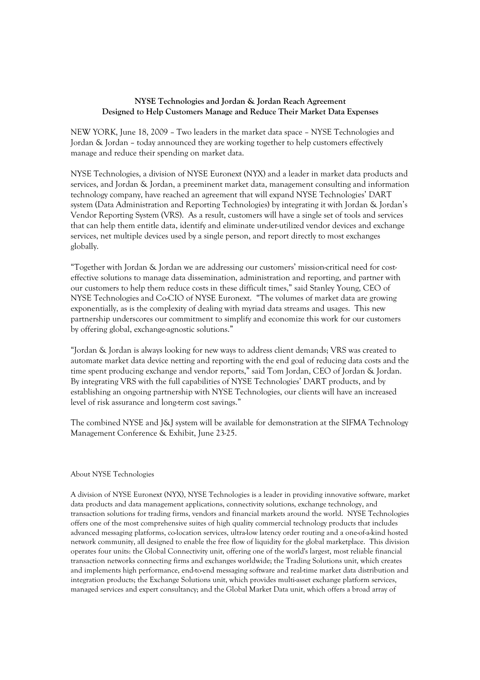## **NYSE Technologies and Jordan & Jordan Reach Agreement Designed to Help Customers Manage and Reduce Their Market Data Expenses**

NEW YORK, June 18, 2009 – Two leaders in the market data space – NYSE Technologies and Jordan & Jordan – today announced they are working together to help customers effectively manage and reduce their spending on market data.

NYSE Technologies, a division of NYSE Euronext (NYX) and a leader in market data products and services, and Jordan & Jordan, a preeminent market data, management consulting and information technology company, have reached an agreement that will expand NYSE Technologies' DART system (Data Administration and Reporting Technologies) by integrating it with Jordan & Jordan's Vendor Reporting System (VRS). As a result, customers will have a single set of tools and services that can help them entitle data, identify and eliminate under-utilized vendor devices and exchange services, net multiple devices used by a single person, and report directly to most exchanges globally.

"Together with Jordan & Jordan we are addressing our customers' mission-critical need for costeffective solutions to manage data dissemination, administration and reporting, and partner with our customers to help them reduce costs in these difficult times," said Stanley Young, CEO of NYSE Technologies and Co-CIO of NYSE Euronext. "The volumes of market data are growing exponentially, as is the complexity of dealing with myriad data streams and usages. This new partnership underscores our commitment to simplify and economize this work for our customers by offering global, exchange-agnostic solutions."

"Jordan & Jordan is always looking for new ways to address client demands; VRS was created to automate market data device netting and reporting with the end goal of reducing data costs and the time spent producing exchange and vendor reports," said Tom Jordan, CEO of Jordan & Jordan. By integrating VRS with the full capabilities of NYSE Technologies' DART products, and by establishing an ongoing partnership with NYSE Technologies, our clients will have an increased level of risk assurance and long-term cost savings."

The combined NYSE and J&J system will be available for demonstration at the SIFMA Technology Management Conference & Exhibit, June 23-25.

## About NYSE Technologies

A division of NYSE Euronext (NYX), NYSE Technologies is a leader in providing innovative software, market data products and data management applications, connectivity solutions, exchange technology, and transaction solutions for trading firms, vendors and financial markets around the world. NYSE Technologies offers one of the most comprehensive suites of high quality commercial technology products that includes advanced messaging platforms, co-location services, ultra-low latency order routing and a one-of-a-kind hosted network community, all designed to enable the free flow of liquidity for the global marketplace. This division operates four units: the Global Connectivity unit, offering one of the world's largest, most reliable financial transaction networks connecting firms and exchanges worldwide; the Trading Solutions unit, which creates and implements high performance, end-to-end messaging software and real-time market data distribution and integration products; the Exchange Solutions unit, which provides multi-asset exchange platform services, managed services and expert consultancy; and the Global Market Data unit, which offers a broad array of